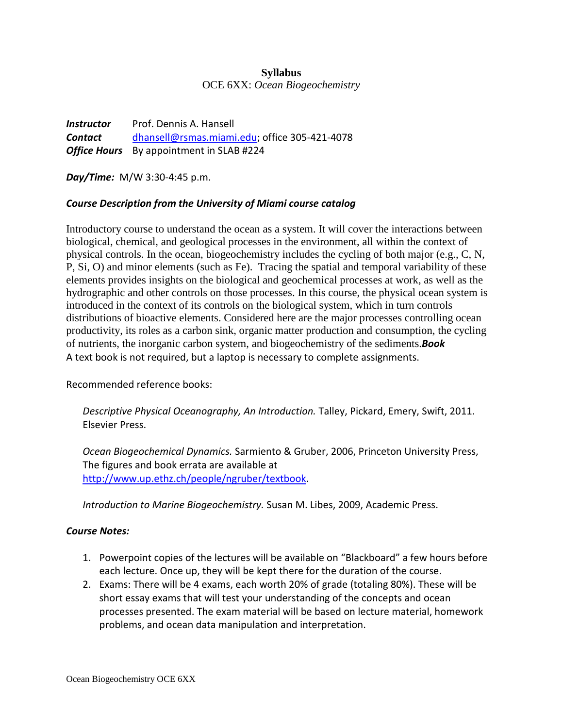#### **Syllabus**

OCE 6XX: *Ocean Biogeochemistry*

*Instructor* Prof. Dennis A. Hansell *Contact* [dhansell@rsmas.miami.edu;](mailto:dhansell@rsmas.miami.edu) office 305-421-4078 **Office Hours** By appointment in SLAB #224

*Day/Time:* M/W 3:30-4:45 p.m.

# *Course Description from the University of Miami course catalog*

Introductory course to understand the ocean as a system. It will cover the interactions between biological, chemical, and geological processes in the environment, all within the context of physical controls. In the ocean, biogeochemistry includes the cycling of both major (e.g., C, N, P, Si, O) and minor elements (such as Fe). Tracing the spatial and temporal variability of these elements provides insights on the biological and geochemical processes at work, as well as the hydrographic and other controls on those processes. In this course, the physical ocean system is introduced in the context of its controls on the biological system, which in turn controls distributions of bioactive elements. Considered here are the major processes controlling ocean productivity, its roles as a carbon sink, organic matter production and consumption, the cycling of nutrients, the inorganic carbon system, and biogeochemistry of the sediments.*Book* A text book is not required, but a laptop is necessary to complete assignments.

Recommended reference books:

*Descriptive Physical Oceanography, An Introduction.* Talley, Pickard, Emery, Swift, 2011. Elsevier Press.

*Ocean Biogeochemical Dynamics.* Sarmiento & Gruber, 2006, Princeton University Press, The figures and book errata are available at [http://www.up.ethz.ch/people/ngruber/textbook.](http://www.up.ethz.ch/people/ngruber/textbook)

*Introduction to Marine Biogeochemistry.* Susan M. Libes, 2009, Academic Press.

#### *Course Notes:*

- 1. Powerpoint copies of the lectures will be available on "Blackboard" a few hours before each lecture. Once up, they will be kept there for the duration of the course.
- 2. Exams: There will be 4 exams, each worth 20% of grade (totaling 80%). These will be short essay exams that will test your understanding of the concepts and ocean processes presented. The exam material will be based on lecture material, homework problems, and ocean data manipulation and interpretation.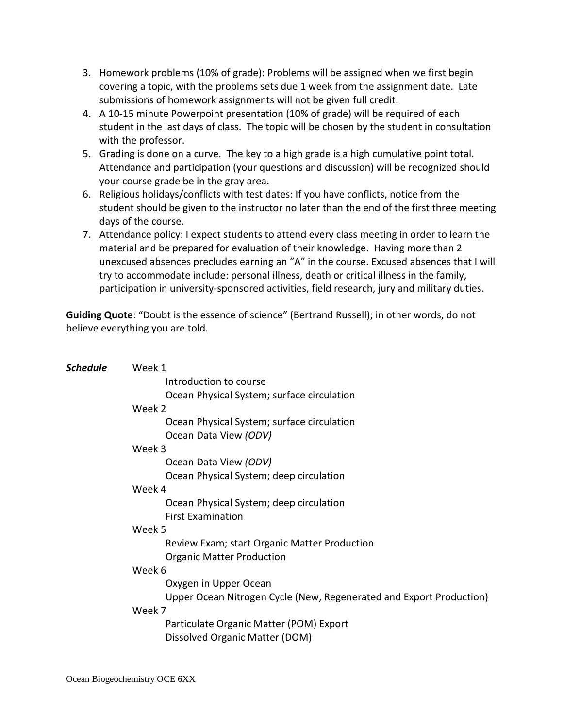- 3. Homework problems (10% of grade): Problems will be assigned when we first begin covering a topic, with the problems sets due 1 week from the assignment date. Late submissions of homework assignments will not be given full credit.
- 4. A 10-15 minute Powerpoint presentation (10% of grade) will be required of each student in the last days of class. The topic will be chosen by the student in consultation with the professor.
- 5. Grading is done on a curve. The key to a high grade is a high cumulative point total. Attendance and participation (your questions and discussion) will be recognized should your course grade be in the gray area.
- 6. Religious holidays/conflicts with test dates: If you have conflicts, notice from the student should be given to the instructor no later than the end of the first three meeting days of the course.
- 7. Attendance policy: I expect students to attend every class meeting in order to learn the material and be prepared for evaluation of their knowledge. Having more than 2 unexcused absences precludes earning an "A" in the course. Excused absences that I will try to accommodate include: personal illness, death or critical illness in the family, participation in university-sponsored activities, field research, jury and military duties.

**Guiding Quote**: "Doubt is the essence of science" (Bertrand Russell); in other words, do not believe everything you are told.

| Introduction to course                                              |
|---------------------------------------------------------------------|
| Ocean Physical System; surface circulation                          |
|                                                                     |
| Ocean Physical System; surface circulation                          |
| Ocean Data View (ODV)                                               |
|                                                                     |
| Ocean Data View (ODV)                                               |
| Ocean Physical System; deep circulation                             |
|                                                                     |
| Ocean Physical System; deep circulation                             |
|                                                                     |
|                                                                     |
| Review Exam; start Organic Matter Production                        |
| <b>Organic Matter Production</b>                                    |
|                                                                     |
| Oxygen in Upper Ocean                                               |
| Upper Ocean Nitrogen Cycle (New, Regenerated and Export Production) |
|                                                                     |
| Particulate Organic Matter (POM) Export                             |
| Dissolved Organic Matter (DOM)                                      |
|                                                                     |